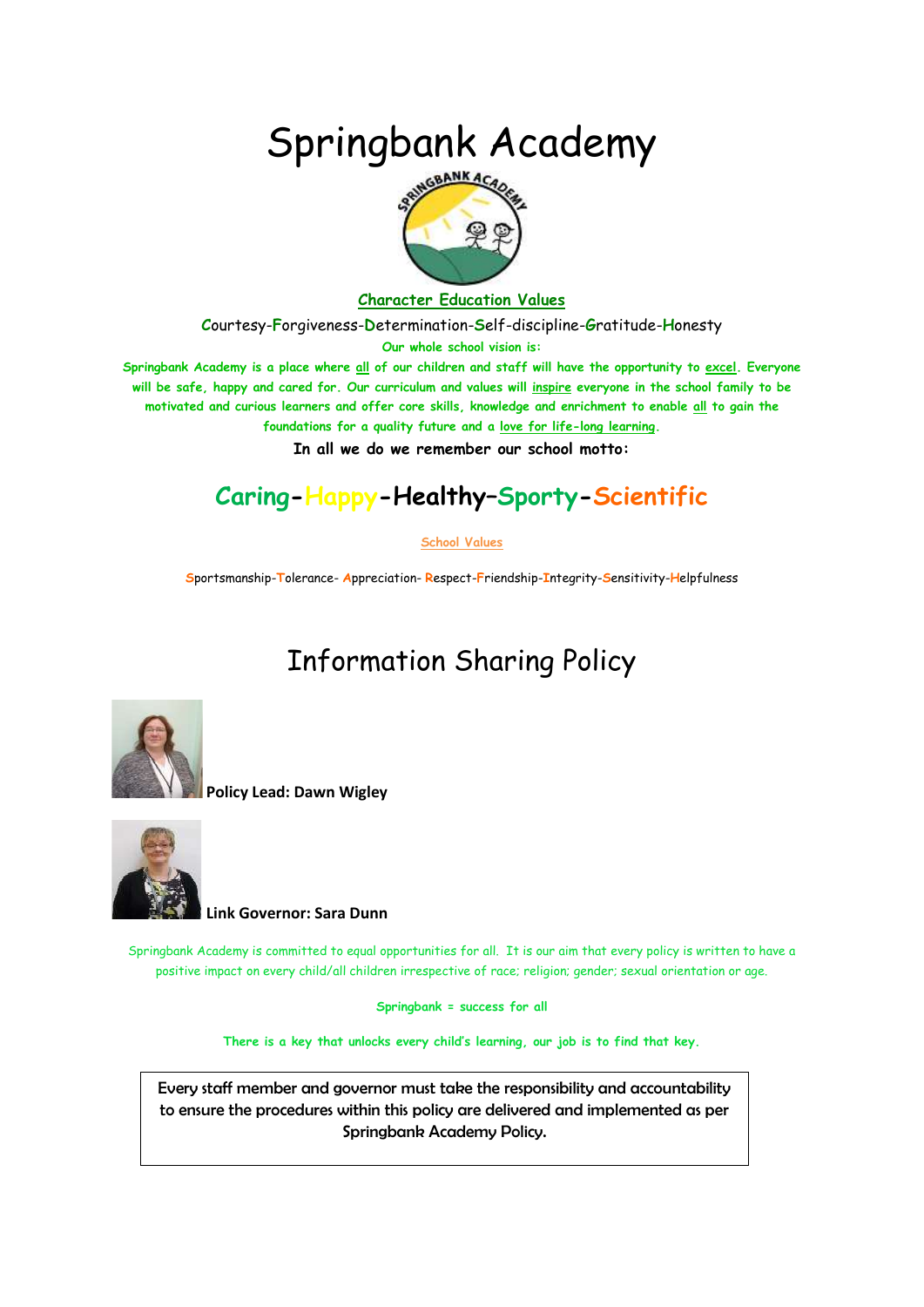# Springbank Academy



#### **Character Education Values**

**C**ourtesy-**F**orgiveness-**D**etermination-**S**elf-discipline-**G**ratitude-**H**onesty

**Our whole school vision is:**

**Springbank Academy is a place where all of our children and staff will have the opportunity to excel. Everyone will be safe, happy and cared for. Our curriculum and values will inspire everyone in the school family to be motivated and curious learners and offer core skills, knowledge and enrichment to enable all to gain the foundations for a quality future and a love for life-long learning.**

**In all we do we remember our school motto:**

## **Caring-Happy-Healthy–Sporty-Scientific**

#### **School Values**

**S**portsmanship-**T**olerance- **A**ppreciation- **R**espect-**F**riendship-**I**ntegrity-**S**ensitivity-**H**elpfulness

## Information Sharing Policy



**Policy Lead: Dawn Wigley**



**Link Governor: Sara Dunn**

Springbank Academy is committed to equal opportunities for all. It is our aim that every policy is written to have a positive impact on every child/all children irrespective of race; religion; gender; sexual orientation or age.

**Springbank = success for all**

**There is a key that unlocks every child's learning, our job is to find that key.**

Every staff member and governor must take the responsibility and accountability to ensure the procedures within this policy are delivered and implemented as per Springbank Academy Policy.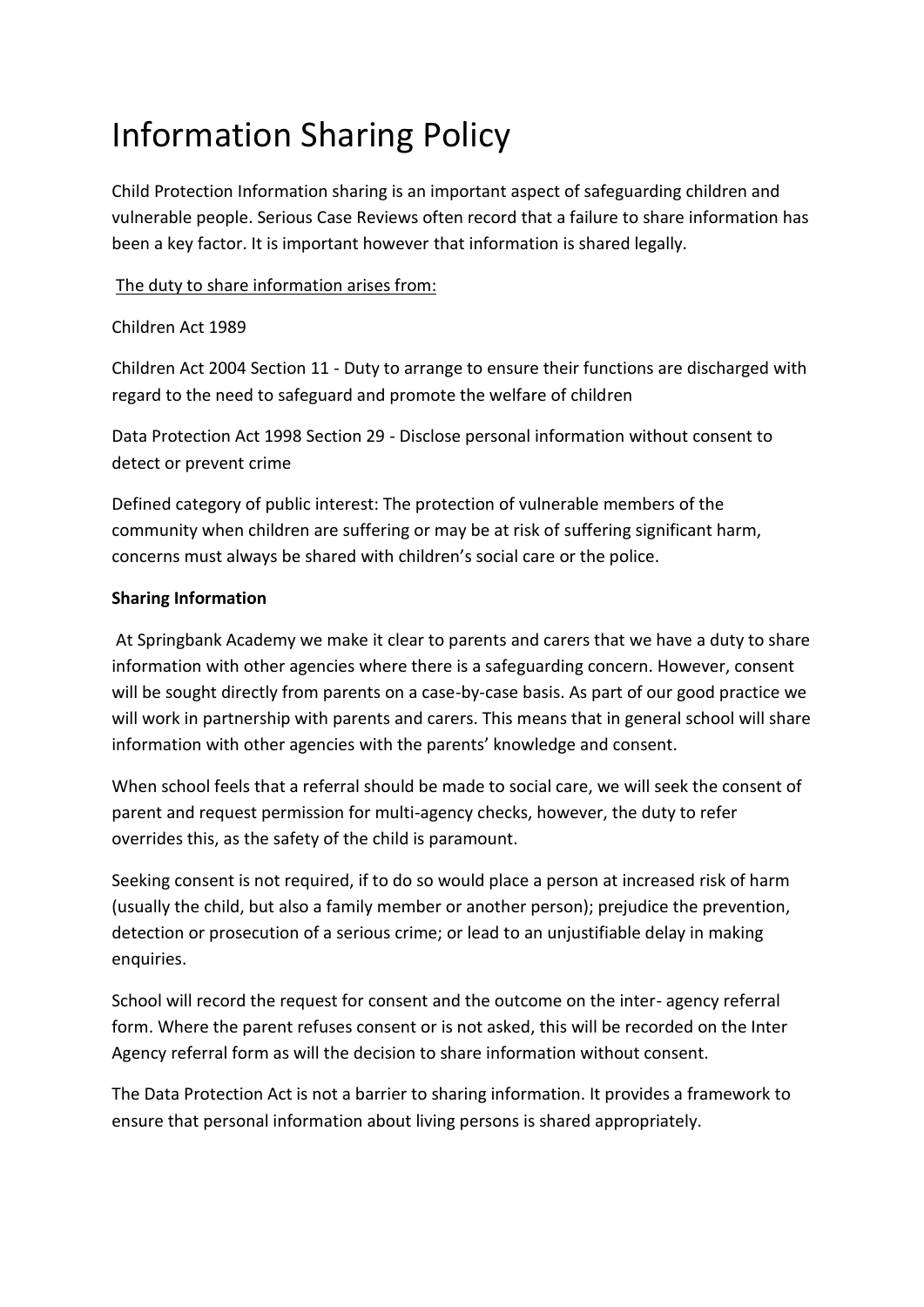# Information Sharing Policy

Child Protection Information sharing is an important aspect of safeguarding children and vulnerable people. Serious Case Reviews often record that a failure to share information has been a key factor. It is important however that information is shared legally.

#### The duty to share information arises from:

#### Children Act 1989

Children Act 2004 Section 11 - Duty to arrange to ensure their functions are discharged with regard to the need to safeguard and promote the welfare of children

Data Protection Act 1998 Section 29 - Disclose personal information without consent to detect or prevent crime

Defined category of public interest: The protection of vulnerable members of the community when children are suffering or may be at risk of suffering significant harm, concerns must always be shared with children's social care or the police.

### **Sharing Information**

At Springbank Academy we make it clear to parents and carers that we have a duty to share information with other agencies where there is a safeguarding concern. However, consent will be sought directly from parents on a case-by-case basis. As part of our good practice we will work in partnership with parents and carers. This means that in general school will share information with other agencies with the parents' knowledge and consent.

When school feels that a referral should be made to social care, we will seek the consent of parent and request permission for multi-agency checks, however, the duty to refer overrides this, as the safety of the child is paramount.

Seeking consent is not required, if to do so would place a person at increased risk of harm (usually the child, but also a family member or another person); prejudice the prevention, detection or prosecution of a serious crime; or lead to an unjustifiable delay in making enquiries.

School will record the request for consent and the outcome on the inter- agency referral form. Where the parent refuses consent or is not asked, this will be recorded on the Inter Agency referral form as will the decision to share information without consent.

The Data Protection Act is not a barrier to sharing information. It provides a framework to ensure that personal information about living persons is shared appropriately.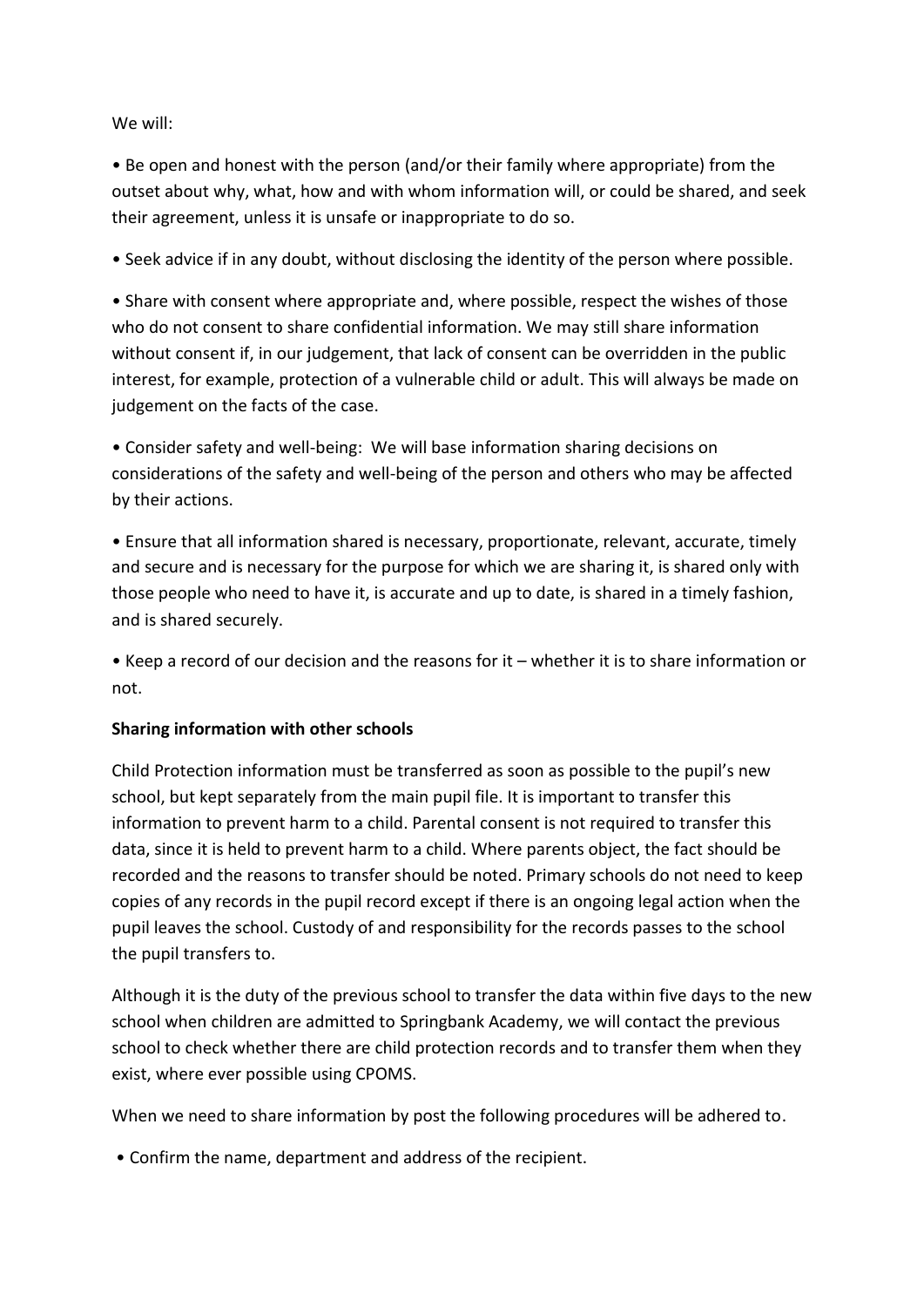#### We will:

• Be open and honest with the person (and/or their family where appropriate) from the outset about why, what, how and with whom information will, or could be shared, and seek their agreement, unless it is unsafe or inappropriate to do so.

• Seek advice if in any doubt, without disclosing the identity of the person where possible.

• Share with consent where appropriate and, where possible, respect the wishes of those who do not consent to share confidential information. We may still share information without consent if, in our judgement, that lack of consent can be overridden in the public interest, for example, protection of a vulnerable child or adult. This will always be made on judgement on the facts of the case.

• Consider safety and well-being: We will base information sharing decisions on considerations of the safety and well-being of the person and others who may be affected by their actions.

• Ensure that all information shared is necessary, proportionate, relevant, accurate, timely and secure and is necessary for the purpose for which we are sharing it, is shared only with those people who need to have it, is accurate and up to date, is shared in a timely fashion, and is shared securely.

• Keep a record of our decision and the reasons for it – whether it is to share information or not.

#### **Sharing information with other schools**

Child Protection information must be transferred as soon as possible to the pupil's new school, but kept separately from the main pupil file. It is important to transfer this information to prevent harm to a child. Parental consent is not required to transfer this data, since it is held to prevent harm to a child. Where parents object, the fact should be recorded and the reasons to transfer should be noted. Primary schools do not need to keep copies of any records in the pupil record except if there is an ongoing legal action when the pupil leaves the school. Custody of and responsibility for the records passes to the school the pupil transfers to.

Although it is the duty of the previous school to transfer the data within five days to the new school when children are admitted to Springbank Academy, we will contact the previous school to check whether there are child protection records and to transfer them when they exist, where ever possible using CPOMS.

When we need to share information by post the following procedures will be adhered to.

• Confirm the name, department and address of the recipient.